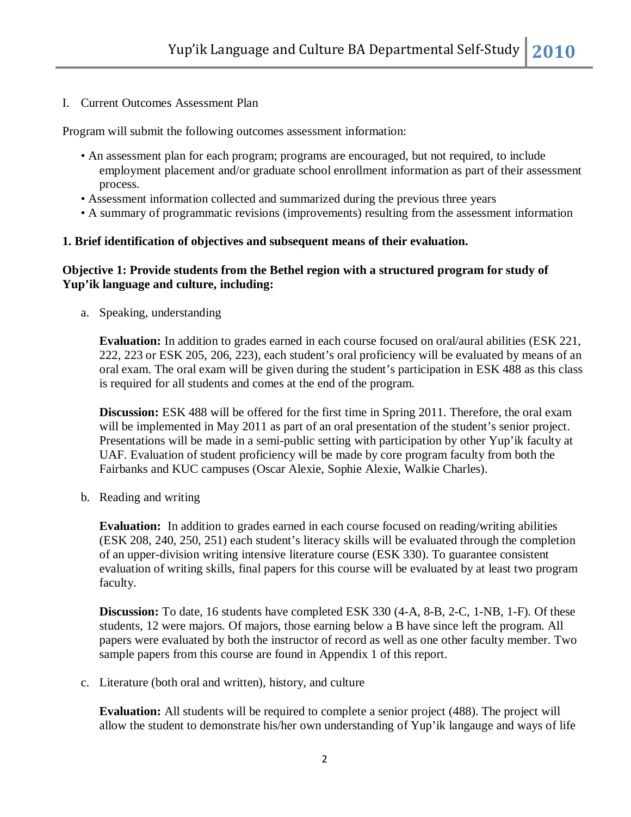I. Current Outcomes Assessment Plan

Program will submit the following outcomes assessment information:

- An assessment plan for each program; programs are encouraged, but not required, to include employment placement and/or graduate school enrollment information as part of their assessment process.
- Assessment information collected and summarized during the previous three years
- A summary of programmatic revisions (improvements) resulting from the assessment information

#### **1. Brief identification of objectives and subsequent means of their evaluation.**

### **Objective 1: Provide students from the Bethel region with a structured program for study of Yup'ik language and culture, including:**

a. Speaking, understanding

**Evaluation:** In addition to grades earned in each course focused on oral/aural abilities (ESK 221, 222, 223 or ESK 205, 206, 223), each student's oral proficiency will be evaluated by means of an oral exam. The oral exam will be given during the student's participation in ESK 488 as this class is required for all students and comes at the end of the program.

**Discussion:** ESK 488 will be offered for the first time in Spring 2011. Therefore, the oral exam will be implemented in May 2011 as part of an oral presentation of the student's senior project. Presentations will be made in a semi-public setting with participation by other Yup'ik faculty at UAF. Evaluation of student proficiency will be made by core program faculty from both the Fairbanks and KUC campuses (Oscar Alexie, Sophie Alexie, Walkie Charles).

b. Reading and writing

**Evaluation:** In addition to grades earned in each course focused on reading/writing abilities (ESK 208, 240, 250, 251) each student's literacy skills will be evaluated through the completion of an upper-division writing intensive literature course (ESK 330). To guarantee consistent evaluation of writing skills, final papers for this course will be evaluated by at least two program faculty.

**Discussion:** To date, 16 students have completed ESK 330 (4-A, 8-B, 2-C, 1-NB, 1-F). Of these students, 12 were majors. Of majors, those earning below a B have since left the program. All papers were evaluated by both the instructor of record as well as one other faculty member. Two sample papers from this course are found in Appendix 1 of this report.

c. Literature (both oral and written), history, and culture

**Evaluation:** All students will be required to complete a senior project (488). The project will allow the student to demonstrate his/her own understanding of Yup'ik langauge and ways of life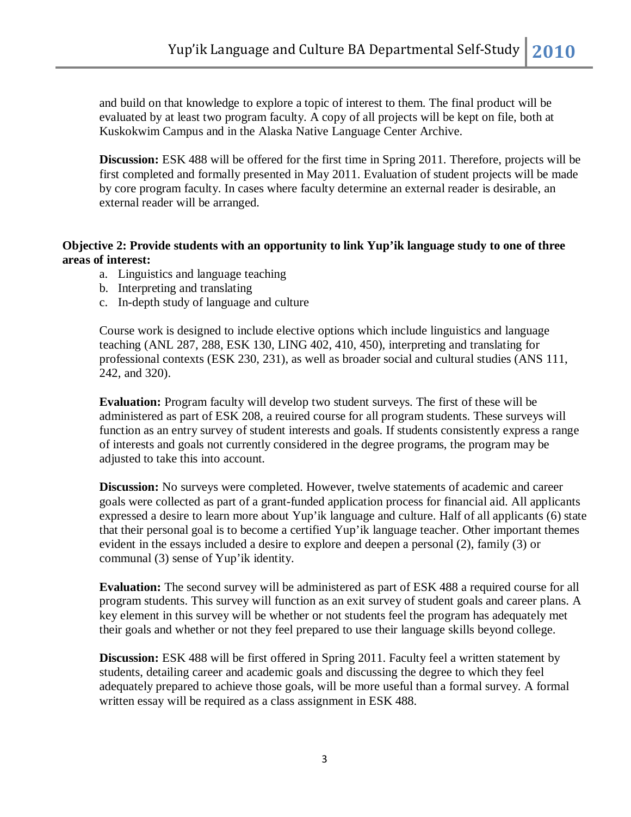and build on that knowledge to explore a topic of interest to them. The final product will be evaluated by at least two program faculty. A copy of all projects will be kept on file, both at Kuskokwim Campus and in the Alaska Native Language Center Archive.

**Discussion:** ESK 488 will be offered for the first time in Spring 2011. Therefore, projects will be first completed and formally presented in May 2011. Evaluation of student projects will be made by core program faculty. In cases where faculty determine an external reader is desirable, an external reader will be arranged.

# **Objective 2: Provide students with an opportunity to link Yup'ik language study to one of three areas of interest:**

- a. Linguistics and language teaching
- b. Interpreting and translating
- c. In-depth study of language and culture

Course work is designed to include elective options which include linguistics and language teaching (ANL 287, 288, ESK 130, LING 402, 410, 450), interpreting and translating for professional contexts (ESK 230, 231), as well as broader social and cultural studies (ANS 111, 242, and 320).

**Evaluation:** Program faculty will develop two student surveys. The first of these will be administered as part of ESK 208, a reuired course for all program students. These surveys will function as an entry survey of student interests and goals. If students consistently express a range of interests and goals not currently considered in the degree programs, the program may be adjusted to take this into account.

**Discussion:** No surveys were completed. However, twelve statements of academic and career goals were collected as part of a grant-funded application process for financial aid. All applicants expressed a desire to learn more about Yup'ik language and culture. Half of all applicants (6) state that their personal goal is to become a certified Yup'ik language teacher. Other important themes evident in the essays included a desire to explore and deepen a personal (2), family (3) or communal (3) sense of Yup'ik identity.

**Evaluation:** The second survey will be administered as part of ESK 488 a required course for all program students. This survey will function as an exit survey of student goals and career plans. A key element in this survey will be whether or not students feel the program has adequately met their goals and whether or not they feel prepared to use their language skills beyond college.

**Discussion:** ESK 488 will be first offered in Spring 2011. Faculty feel a written statement by students, detailing career and academic goals and discussing the degree to which they feel adequately prepared to achieve those goals, will be more useful than a formal survey. A formal written essay will be required as a class assignment in ESK 488.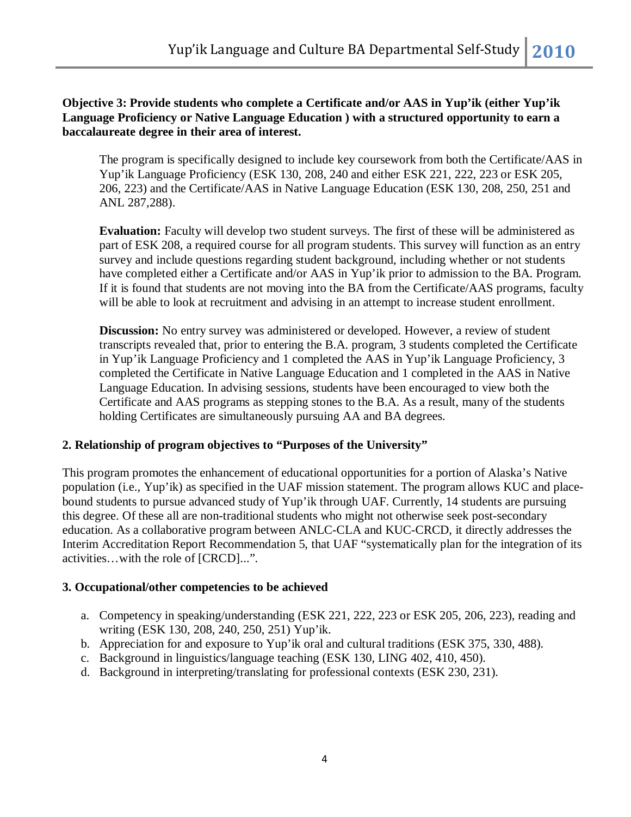## **Objective 3: Provide students who complete a Certificate and/or AAS in Yup'ik (either Yup'ik Language Proficiency or Native Language Education ) with a structured opportunity to earn a baccalaureate degree in their area of interest.**

The program is specifically designed to include key coursework from both the Certificate/AAS in Yup'ik Language Proficiency (ESK 130, 208, 240 and either ESK 221, 222, 223 or ESK 205, 206, 223) and the Certificate/AAS in Native Language Education (ESK 130, 208, 250, 251 and ANL 287,288).

**Evaluation:** Faculty will develop two student surveys. The first of these will be administered as part of ESK 208, a required course for all program students. This survey will function as an entry survey and include questions regarding student background, including whether or not students have completed either a Certificate and/or AAS in Yup'ik prior to admission to the BA. Program. If it is found that students are not moving into the BA from the Certificate/AAS programs, faculty will be able to look at recruitment and advising in an attempt to increase student enrollment.

**Discussion:** No entry survey was administered or developed. However, a review of student transcripts revealed that, prior to entering the B.A. program, 3 students completed the Certificate in Yup'ik Language Proficiency and 1 completed the AAS in Yup'ik Language Proficiency, 3 completed the Certificate in Native Language Education and 1 completed in the AAS in Native Language Education. In advising sessions, students have been encouraged to view both the Certificate and AAS programs as stepping stones to the B.A. As a result, many of the students holding Certificates are simultaneously pursuing AA and BA degrees.

# **2. Relationship of program objectives to "Purposes of the University"**

This program promotes the enhancement of educational opportunities for a portion of Alaska's Native population (i.e., Yup'ik) as specified in the UAF mission statement. The program allows KUC and placebound students to pursue advanced study of Yup'ik through UAF. Currently, 14 students are pursuing this degree. Of these all are non-traditional students who might not otherwise seek post-secondary education. As a collaborative program between ANLC-CLA and KUC-CRCD, it directly addresses the Interim Accreditation Report Recommendation 5, that UAF "systematically plan for the integration of its activities…with the role of [CRCD]...".

# **3. Occupational/other competencies to be achieved**

- a. Competency in speaking/understanding (ESK 221, 222, 223 or ESK 205, 206, 223), reading and writing (ESK 130, 208, 240, 250, 251) Yup'ik.
- b. Appreciation for and exposure to Yup'ik oral and cultural traditions (ESK 375, 330, 488).
- c. Background in linguistics/language teaching (ESK 130, LING 402, 410, 450).
- d. Background in interpreting/translating for professional contexts (ESK 230, 231).